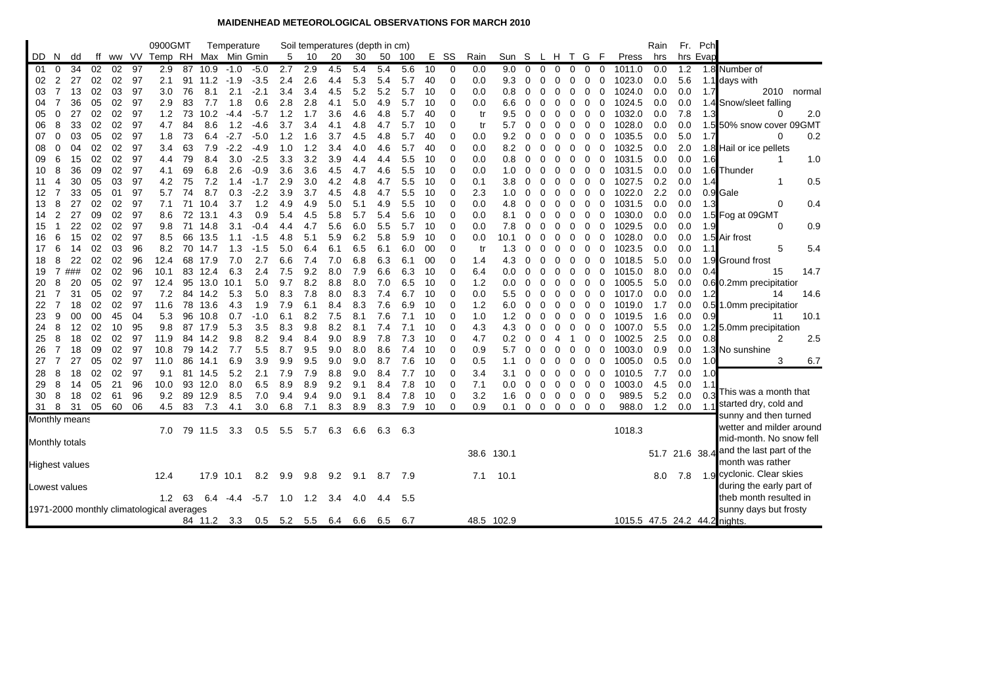## **MAIDENHEAD METEOROLOGICAL OBSERVATIONS FOR MARCH 2010**

|     |                |                       |    |    |    | 0900GMT                                   |    |         | Temperature |        |     |     |     | Soil temperatures (depth in cm) |     |      |    |             |            |      |             |          |                |                 |             |             | Rain |     | Fr. Pch  |                                    |
|-----|----------------|-----------------------|----|----|----|-------------------------------------------|----|---------|-------------|--------|-----|-----|-----|---------------------------------|-----|------|----|-------------|------------|------|-------------|----------|----------------|-----------------|-------------|-------------|------|-----|----------|------------------------------------|
| DD. | N.             | dd                    |    |    |    | ff ww VV Temp RH Max Min Gmin             |    |         |             |        | -5  | 10  | 20  | 30                              | 50  | 100  | Е. | SS          | Rain       | Sun  | - S         | L H      |                | T G             | - F         | Press       | hrs  |     | hrs Evap |                                    |
| -01 | $\Omega$       | 34                    | 02 | 02 | 97 | 2.9                                       | 87 | 10.9    | $-1.0$      | $-5.0$ | 2.7 | 2.9 | 4.5 | 5.4                             | 5.4 | 5.6  | 10 | 0           | 0.0        | 9.0  | $\Omega$    | $\Omega$ | 0              | $\Omega$        | 0           | 1011.0<br>0 | 0.0  | 1.2 |          | 1.8 Number of                      |
| 02  | 2              | 27                    | 02 | 02 | 97 | 2.1                                       | 91 | 11.2    | $-1.9$      | $-3.5$ | 2.4 | 2.6 | 4.4 | 5.3                             | 5.4 | 5.7  | 40 | $\Omega$    | 0.0        | 9.3  | 0           | 0        | 0              | 0               | $\mathbf 0$ | 0<br>1023.0 | 0.0  | 5.6 |          | 1.1 days with                      |
| 03  | $\overline{7}$ | 13                    | 02 | 03 | 97 | 3.0                                       | 76 | 8.1     | 2.1         | $-2.1$ | 3.4 | 3.4 | 4.5 | 5.2                             | 5.2 | 5.7  | 10 | $\Omega$    | 0.0        | 0.8  | 0           | 0        | $\Omega$       | 0               | 0           | 0<br>1024.0 | 0.0  | 0.0 | 1.7      | 2010<br>normal                     |
| 04  | $\overline{7}$ | 36                    | 05 | 02 | 97 | 2.9                                       | 83 | 7.7     | 1.8         | 0.6    | 2.8 | 2.8 | 4.1 | 5.0                             | 4.9 | 5.7  | 10 | $\Omega$    | 0.0        | 6.6  | 0           | 0        | 0              | 0               | 0           | 0<br>1024.5 | 0.0  | 0.0 |          | 1.4 Snow/sleet falling             |
| 05  | $\Omega$       | 27                    | 02 | 02 | 97 | 1.2                                       | 73 | 10.2    | $-4.4$      | $-5.7$ | 1.2 | 1.7 | 3.6 | 4.6                             | 4.8 | 5.7  | 40 | $\Omega$    | tr         | 9.5  | $\Omega$    | 0        | O              | 0               | 0           | 1032.0<br>0 | 0.0  | 7.8 | 1.3      | 2.0<br>0                           |
| 06  | 8              | 33                    | 02 | 02 | 97 | 4.7                                       | 84 | 8.6     | 1.2         | $-4.6$ | 3.7 | 3.4 | 4.1 | 4.8                             | 4.7 | 5.7  | 10 | $\Omega$    | tr         | 5.7  | 0           | 0        | 0              | 0               | 0           | 1028.0<br>0 | 0.0  | 0.0 |          | 1.5 50% snow cover 09GMT           |
| 07  | 0              | 03                    | 05 | 02 | 97 | 1.8                                       | 73 | 6.4     | $-2.7$      | $-5.0$ | 1.2 | 1.6 | 3.7 | 4.5                             | 4.8 | 5.7  | 40 | $\Omega$    | 0.0        | 9.2  | 0           | 0        | $\Omega$       | 0               | 0           | 1035.5<br>0 | 0.0  | 5.0 | 1.7      | 0.2<br>$\Omega$                    |
| 08  | 0              | 04                    | 02 | 02 | 97 | 3.4                                       | 63 | 7.9     | $-2.2$      | $-4.9$ | 1.0 | 1.2 | 3.4 | 4.0                             | 4.6 | 5.7  | 40 | $\Omega$    | 0.0        | 8.2  | 0           | 0        | 0              | 0               | 0           | 1032.5<br>0 | 0.0  | 2.0 |          | 1.8 Hail or ice pellets            |
| 09  | 6              | 15                    | 02 | 02 | 97 | 4.4                                       | 79 | 8.4     | 3.0         | $-2.5$ | 3.3 | 3.2 | 3.9 | 4.4                             | 4.4 | 5.5  | 10 | $\Omega$    | 0.0        | 0.8  | 0           | 0        | 0              | 0               | 0           | 0<br>1031.5 | 0.0  | 0.0 | 1.6      | 1.0<br>1                           |
| 10  | 8              | 36                    | 09 | 02 | 97 | 4.1                                       | 69 | 6.8     | 2.6         | $-0.9$ | 3.6 | 3.6 | 4.5 | 4.7                             | 4.6 | 5.5  | 10 | $\Omega$    | 0.0        | 1.0  | 0           | 0        | $\Omega$       | 0               | 0           | 1031.5<br>0 | 0.0  | 0.0 |          | 1.6 Thunder                        |
| 11  | 4              | 30                    | 05 | 03 | 97 | 4.2                                       | 75 | 7.2     | 1.4         | $-1.7$ | 2.9 | 3.0 | 4.2 | 4.8                             | 4.7 | 5.5  | 10 | $\Omega$    | 0.1        | 3.8  | 0           | 0        | 0              | 0               | 0           | 1027.5<br>0 | 0.2  | 0.0 | 1.4      | 0.5<br>-1                          |
| 12  | $\overline{7}$ | 33                    | 05 | 01 | 97 | 5.7                                       | 74 | 8.7     | 0.3         | $-2.2$ | 3.9 | 3.7 | 4.5 | 4.8                             | 4.7 | 5.5  | 10 | $\Omega$    | 2.3        | 1.0  | 0           | 0        | 0              | 0               | 0           | 1022.0<br>0 | 2.2  | 0.0 |          | 0.9 <sub>IGale</sub>               |
| 13  | 8              | 27                    | 02 | 02 | 97 | 7.1                                       | 71 | 10.4    | 3.7         | 1.2    | 4.9 | 4.9 | 5.0 | 5.1                             | 4.9 | 5.5  | 10 | $\Omega$    | 0.0        | 4.8  | 0           | 0        | 0              | 0               | 0           | 0<br>1031.5 | 0.0  | 0.0 | 1.3      | 0.4<br>0                           |
| 14  | 2              | 27                    | 09 | 02 | 97 | 8.6                                       | 72 | 13.1    | 4.3         | 0.9    | 5.4 | 4.5 | 5.8 | 5.7                             | 5.4 | 5.6  | 10 | $\Omega$    | 0.0        | 8.1  | 0           | 0        | 0              | 0               | 0           | 0<br>1030.0 | 0.0  | 0.0 |          | 1.5 Fog at 09GMT                   |
| 15  |                | 22                    | 02 | 02 | 97 | 9.8                                       | 71 | 14.8    | 3.1         | $-0.4$ | 4.4 | 4.7 | 5.6 | 6.0                             | 5.5 | 5.7  | 10 | 0           | 0.0        | 7.8  | 0           | 0        | 0              | 0               | 0           | 1029.5<br>0 | 0.0  | 0.0 | 1.9      | 0.9<br>0                           |
| 16  | 6              | 15                    | 02 | 02 | 97 | 8.5                                       | 66 | 13.5    | 1.1         | $-1.5$ | 4.8 | 5.1 | 5.9 | 6.2                             | 5.8 | 5.9  | 10 | $\mathbf 0$ | 0.0        | 10.1 | 0           | 0        | 0              | 0               | 0           | 1028.0<br>0 | 0.0  | 0.0 |          | 1.5 Air frost                      |
| 17  | 6              | 14                    | 02 | 03 | 96 | 8.2                                       | 70 | 14.7    | 1.3         | $-1.5$ | 5.0 | 6.4 | 6.1 | 6.5                             | 6.1 | 6.0  | 00 | $\Omega$    | tr         | 1.3  | 0           | 0        | 0              | 0               | 0           | 1023.5<br>0 | 0.0  | 0.0 | 1.1      | 5<br>5.4                           |
| 18  | 8              | 22                    | 02 | 02 | 96 | 12.4                                      | 68 | 17.9    | 7.0         | 2.7    | 6.6 | 7.4 | 7.0 | 6.8                             | 6.3 | 6.1  | 00 | $\Omega$    | 1.4        | 4.3  | 0           | 0        | 0              | 0               | 0           | 1018.5<br>0 | 5.0  | 0.0 |          | 1.9 Ground frost                   |
| 19  | 7              | ###                   | 02 | 02 | 96 | 10.1                                      | 83 | 12.4    | 6.3         | 2.4    | 7.5 | 9.2 | 8.0 | 7.9                             | 6.6 | 6.3  | 10 | $\mathbf 0$ | 6.4        | 0.0  | 0           | 0        | 0              | 0               | 0           | 1015.0<br>0 | 8.0  | 0.0 | 0.4      | 14.7<br>15                         |
| 20  | 8              | 20                    | 05 | 02 | 97 | 12.4                                      | 95 | 13.0    | 10.1        | 5.0    | 9.7 | 8.2 | 8.8 | 8.0                             | 7.0 | 6.5  | 10 | 0           | 1.2        | 0.0  | 0           | 0        | 0              | 0               | 0           | 0<br>1005.5 | 5.0  | 0.0 |          | 0.6 0.2mm precipitation            |
| 21  | 7              | 31                    | 05 | 02 | 97 | 7.2                                       |    | 84 14.2 | 5.3         | 5.0    | 8.3 | 7.8 | 8.0 | 8.3                             | 7.4 | 6.7  | 10 | $\Omega$    | 0.0        | 5.5  | 0           | 0        | O              | 0               | 0           | 1017.0<br>0 | 0.0  | 0.0 | 1.2      | 14.6<br>14                         |
| 22  | 7              | 18                    | 02 | 02 | 97 | 11.6                                      | 78 | 13.6    | 4.3         | 1.9    | 7.9 | 6.1 | 8.4 | 8.3                             | 7.6 | 6.9  | 10 | $\Omega$    | 1.2        | 6.0  | 0           | 0        | 0              | 0               | 0           | 0<br>1019.0 | 1.7  | 0.0 |          | 0.5 1.0mm precipitation            |
| 23  | 9              | 00                    | 00 | 45 | 04 | 5.3                                       | 96 | 10.8    | 0.7         | $-1.0$ | 6.1 | 8.2 | 7.5 | 8.1                             | 7.6 | 7.1  | 10 | $\Omega$    | 1.0        | 1.2  | 0           | ი        | O              | 0               | 0           | 1019.5<br>0 | 1.6  | 0.0 | 0.9      | 10.1<br>11                         |
| 24  | 8              | 12                    | 02 | 10 | 95 | 9.8                                       |    | 87 17.9 | 5.3         | 3.5    | 8.3 | 9.8 | 8.2 | 8.1                             | 7.4 | 7.1  | 10 | 0           | 4.3        | 4.3  | 0           | 0        | 0              | 0               | 0           | 0<br>1007.0 | 5.5  | 0.0 |          | 1.2 5.0mm precipitation            |
| 25  | 8              | 18                    | 02 | 02 | 97 | 11.9                                      |    | 84 14.2 | 9.8         | 8.2    | 9.4 | 8.4 | 9.0 | 8.9                             | 7.8 | 7.3  | 10 | $\Omega$    | 4.7        | 0.2  | 0           | 0        | 4              | -1              | 0           | 1002.5<br>0 | 2.5  | 0.0 | 0.8      | 2<br>2.5                           |
| 26  | $\overline{7}$ | 18                    | 09 | 02 | 97 | 10.8                                      | 79 | 14.2    | 7.7         | 5.5    | 8.7 | 9.5 | 9.0 | 8.0                             | 8.6 | 7.4  | 10 | $\mathbf 0$ | 0.9        | 5.7  | 0           | 0        | 0              | 0               | 0           | 1003.0<br>0 | 0.9  | 0.0 |          | 1.3 No sunshine                    |
| 27  | 7              | 27                    | 05 | 02 | 97 | 11.0                                      | 86 | 14.1    | 6.9         | 3.9    | 9.9 | 9.5 | 9.0 | 9.0                             | 8.7 | 7.6  | 10 | $\Omega$    | 0.5        | 1.1  | 0           | 0        | 0              | 0               | 0           | 0<br>1005.0 | 0.5  | 0.0 | 1.0      | 6.7<br>3                           |
| 28  | 8              | 18                    | 02 | 02 | 97 | 9.1                                       | 81 | 14.5    | 5.2         | 2.1    | 7.9 | 7.9 | 8.8 | 9.0                             | 8.4 | 7.7  | 10 | 0           | 3.4        | 3.1  | 0           | 0        | 0              | 0               | 0           | 1010.5<br>0 | 7.7  | 0.0 | 1.0      |                                    |
| 29  | 8              | 14                    | 05 | 21 | 96 | 10.0                                      |    | 93 12.0 | 8.0         | 6.5    | 8.9 | 8.9 | 9.2 | 9.1                             | 8.4 | 7.8  | 10 | 0           | 7.1        | 0.0  | 0           | 0        | 0              | 0               | $\mathbf 0$ | 1003.0<br>0 | 4.5  | 0.0 | 1.1      | This was a month that              |
| 30  | 8              | 18                    | 02 | 61 | 96 | 9.2                                       | 89 | 12.9    | 8.5         | 7.0    | 9.4 | 9.4 | 9.0 | 9.1                             | 8.4 | 7.8  | 10 | 0           | 3.2        | 1.6  | 0           | 0        | $\overline{0}$ | 0               | 0           | 0<br>989.5  | 5.2  | 0.0 | 0.3      | started dry, cold and              |
| 31  | 8              | 31                    | 05 | 60 | 06 | 4.5                                       | 83 | 7.3     | 4.1         | 3.0    | 6.8 | 7.1 | 8.3 | 8.9                             | 8.3 | 7.9  | 10 | $\mathbf 0$ | 0.9        | 0.1  | $\mathbf 0$ |          |                | $0\ 0\ 0\ 0\ 0$ |             | 988.0       | 1.2  | 0.0 | 1.1      | sunny and then turned              |
|     |                | Monthly means         |    |    |    |                                           |    |         |             |        |     |     |     |                                 |     |      |    |             |            |      |             |          |                |                 |             |             |      |     |          | wetter and milder around           |
|     |                |                       |    |    |    | 7.0                                       |    | 79 11.5 | 3.3         | 0.5    | 5.5 | 5.7 | 6.3 | 6.6                             | 6.3 | 6.3  |    |             |            |      |             |          |                |                 |             | 1018.3      |      |     |          | mid-month. No snow fell            |
|     |                | Monthly totals        |    |    |    |                                           |    |         |             |        |     |     |     |                                 |     |      |    |             |            |      |             |          |                |                 |             |             |      |     |          |                                    |
|     |                |                       |    |    |    |                                           |    |         |             |        |     |     |     |                                 |     |      |    |             | 38.6 130.1 |      |             |          |                |                 |             |             | 51.7 |     |          | 21.6 38.4 and the last part of the |
|     |                | <b>Highest values</b> |    |    |    |                                           |    |         |             |        |     |     |     |                                 |     |      |    |             |            |      |             |          |                |                 |             |             |      |     |          | month was rather                   |
|     |                |                       |    |    |    | 12.4                                      |    | 17.9    | 10.1        | 8.2    | 9.9 | 9.8 | 9.2 | 9.1                             | 8.7 | -7.9 |    |             | 7.1        | 10.1 |             |          |                |                 |             |             | 8.0  | 7.8 |          | 1.9 cyclonic. Clear skies          |
|     |                | Lowest values         |    |    |    |                                           |    |         |             |        |     |     |     |                                 |     |      |    |             |            |      |             |          |                |                 |             |             |      |     |          | during the early part of           |
|     |                |                       |    |    |    | 1.2                                       | 63 | 6.4     | -4.4        | $-5.7$ | 1.0 | 1.2 | 3.4 | 4.0                             | 4.4 | 5.5  |    |             |            |      |             |          |                |                 |             |             |      |     |          | theb month resulted in             |
|     |                |                       |    |    |    | 1971-2000 monthly climatological averages |    |         |             |        |     |     |     |                                 |     |      |    |             |            |      |             |          |                |                 |             |             |      |     |          | sunny days but frosty              |
|     |                |                       |    |    |    |                                           |    | 84 11.2 | 3.3         | 0.5    | 5.2 | 5.5 | 6.4 | 6.6                             | 6.5 | 6.7  |    |             | 48.5 102.9 |      |             |          |                |                 |             |             |      |     |          | 1015.5 47.5 24.2 44.2 nights.      |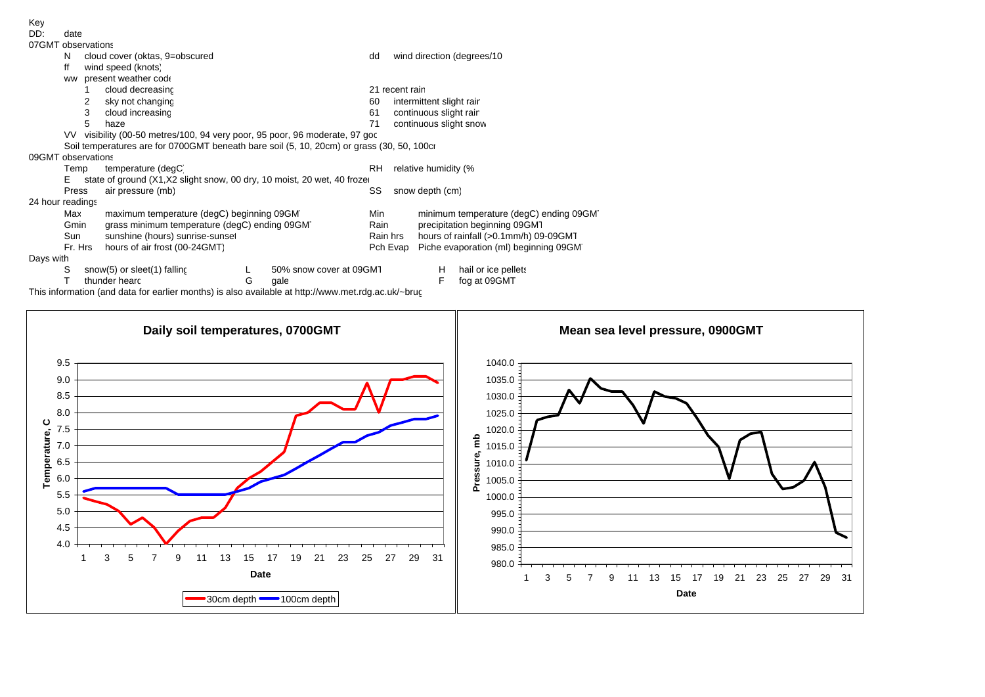| DD:                | date  |                                                                             |                                                                                           |   |                         |                       |                        |                                        |                                       |  |  |  |  |
|--------------------|-------|-----------------------------------------------------------------------------|-------------------------------------------------------------------------------------------|---|-------------------------|-----------------------|------------------------|----------------------------------------|---------------------------------------|--|--|--|--|
| 07GMT observations |       |                                                                             |                                                                                           |   |                         |                       |                        |                                        |                                       |  |  |  |  |
|                    | N     |                                                                             | cloud cover (oktas, 9=obscured                                                            |   |                         | dd                    |                        |                                        | wind direction (degrees/10)           |  |  |  |  |
|                    | ff    |                                                                             | wind speed (knots)                                                                        |   |                         |                       |                        |                                        |                                       |  |  |  |  |
|                    | ww    |                                                                             | present weather code                                                                      |   |                         |                       |                        |                                        |                                       |  |  |  |  |
|                    |       |                                                                             | cloud decreasinc                                                                          |   |                         |                       | 21 recent rain         |                                        |                                       |  |  |  |  |
|                    |       | 2                                                                           | sky not changing                                                                          |   |                         | 60                    |                        | intermittent slight rair               |                                       |  |  |  |  |
|                    |       | 3                                                                           | cloud increasing                                                                          |   |                         | 61                    | continuous slight rair |                                        |                                       |  |  |  |  |
|                    |       | 5                                                                           | haze                                                                                      |   |                         | 71                    |                        | continuous slight snow                 |                                       |  |  |  |  |
|                    |       | VV visibility (00-50 metres/100, 94 very poor, 95 poor, 96 moderate, 97 goc |                                                                                           |   |                         |                       |                        |                                        |                                       |  |  |  |  |
|                    |       |                                                                             | Soil temperatures are for 0700GMT beneath bare soil (5, 10, 20cm) or grass (30, 50, 100cr |   |                         |                       |                        |                                        |                                       |  |  |  |  |
| 09GMT observations |       |                                                                             |                                                                                           |   |                         |                       |                        |                                        |                                       |  |  |  |  |
|                    | Temp  |                                                                             | temperature (degC)                                                                        |   |                         | RH                    |                        | relative humidity (%                   |                                       |  |  |  |  |
|                    | E.    |                                                                             | state of ground (X1,X2 slight snow, 00 dry, 10 moist, 20 wet, 40 froze                    |   |                         |                       |                        |                                        |                                       |  |  |  |  |
|                    | Press |                                                                             | air pressure (mb)                                                                         |   |                         | SS<br>snow depth (cm) |                        |                                        |                                       |  |  |  |  |
| 24 hour readings   |       |                                                                             |                                                                                           |   |                         |                       |                        |                                        |                                       |  |  |  |  |
|                    | Max   |                                                                             | maximum temperature (degC) beginning 09GM                                                 |   |                         | Min                   |                        | minimum temperature (degC) ending 09GM |                                       |  |  |  |  |
|                    | Gmin  |                                                                             | grass minimum temperature (degC) ending 09GM                                              |   |                         | Rain                  |                        | precipitation beginning 09GM1          |                                       |  |  |  |  |
|                    | Sun   |                                                                             | sunshine (hours) sunrise-sunset                                                           |   |                         | Rain hrs              |                        | hours of rainfall (>0.1mm/h) 09-09GM1  |                                       |  |  |  |  |
|                    |       | hours of air frost (00-24GMT)<br>Fr. Hrs                                    |                                                                                           |   |                         |                       | Pch Evap               |                                        | Piche evaporation (ml) beginning 09GM |  |  |  |  |
| Days with          |       |                                                                             |                                                                                           |   |                         |                       |                        |                                        |                                       |  |  |  |  |
|                    | S     |                                                                             | snow(5) or sleet(1) falling                                                               |   | 50% snow cover at 09GMT |                       |                        | H                                      | hail or ice pellets                   |  |  |  |  |
|                    |       |                                                                             | thunder hearc                                                                             | G | gale                    |                       |                        | F                                      | fog at 09GMT                          |  |  |  |  |

This information (and data for earlier months) is also available at http://www.met.rdg.ac.uk/~brug

Key